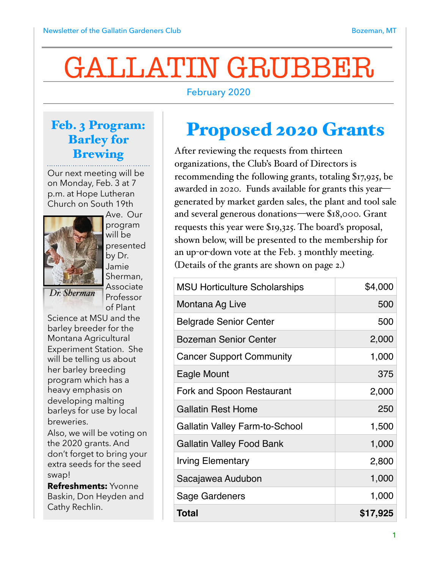# GALLATIN GRUBBER

### February 2020

### Feb. 3 Program: Barley for Brewing

Our next meeting will be on Monday, Feb. 3 at 7 p.m. at Hope Lutheran Church on South 19th



Ave. Our program will be presented by Dr. Jamie Sherman, Associate Professor

of Plant Science at MSU and the barley breeder for the Montana Agricultural Experiment Station. She will be telling us about her barley breeding program which has a

heavy emphasis on developing malting barleys for use by local breweries.

Also, we will be voting on the 2020 grants. And don't forget to bring your extra seeds for the seed swap!

**Refreshments:** Yvonne Baskin, Don Heyden and Cathy Rechlin.

# Proposed 2020 Grants

After reviewing the requests from thirteen organizations, the Club's Board of Directors is recommending the following grants, totaling \$17,925, be awarded in 2020. Funds available for grants this year generated by market garden sales, the plant and tool sale and several generous donations—were \$18,000. Grant requests this year were \$19,325. The board's proposal, shown below, will be presented to the membership for an up-or-down vote at the Feb. 3 monthly meeting. (Details of the grants are shown on page 2.)

| <b>MSU Horticulture Scholarships</b>  | \$4,000  |
|---------------------------------------|----------|
| Montana Ag Live                       | 500      |
| <b>Belgrade Senior Center</b>         | 500      |
| <b>Bozeman Senior Center</b>          | 2,000    |
| <b>Cancer Support Community</b>       | 1,000    |
| Eagle Mount                           | 375      |
| Fork and Spoon Restaurant             | 2,000    |
| <b>Gallatin Rest Home</b>             | 250      |
| <b>Gallatin Valley Farm-to-School</b> | 1,500    |
| <b>Gallatin Valley Food Bank</b>      | 1,000    |
| <b>Irving Elementary</b>              | 2,800    |
| Sacajawea Audubon                     | 1,000    |
| Sage Gardeners                        | 1,000    |
| <b>Total</b>                          | \$17,925 |